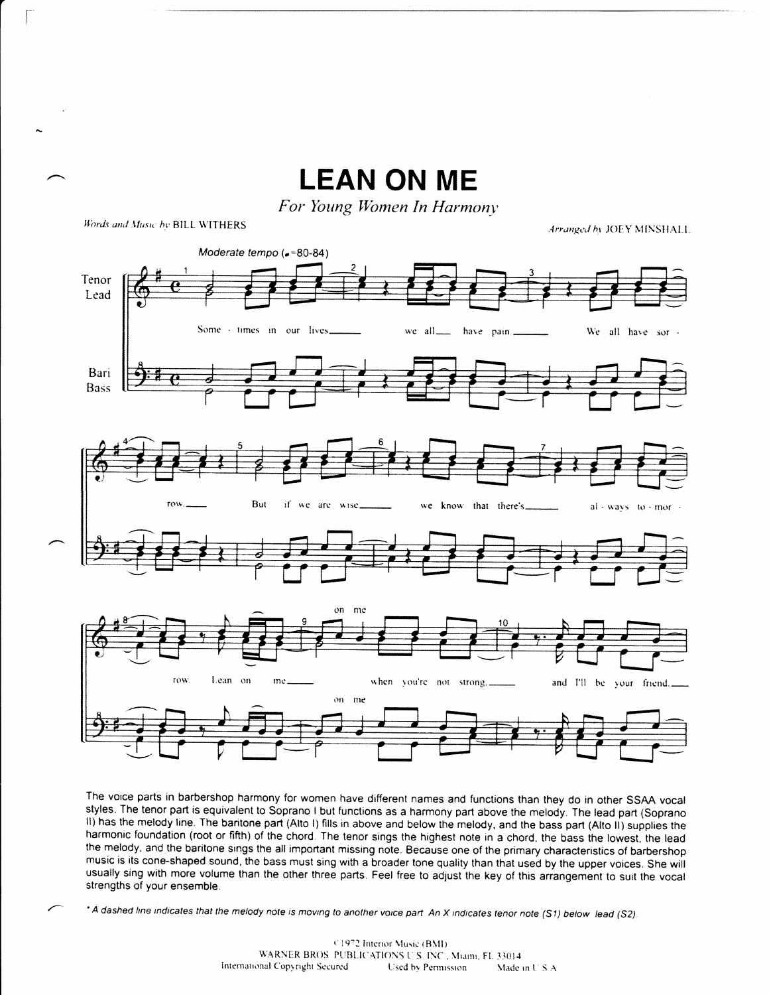

The voice parts in barbershop harmony for women have different names and functions than they do in other SSAA vocal styles. The tenor part is equivalent to Soprano I but functions as a harmony part above the melody. The lead part (Soprano II) has the melody line. The baritone part (Alto I) fills in above and below the melody, and the bass part (Alto II) supplies the harmonic foundation (root or fifth) of the chord. The tenor sings the highest note in a chord, the bass the lowest, the lead the melody, and the baritone sings the all important missing note. Because one of the primary characteristics of barbershop music is its cone-shaped sound, the bass must sing with a broader tone quality than that used by the upper voices. She will usually sing with more volume than the other three parts. Feel free to adjust the key of this arrangement to suit the vocal strengths of your ensemble.

\*A dashed line indicates that the melody note is moving to another voice part. An X indicates tenor note (S1) below lead (S2).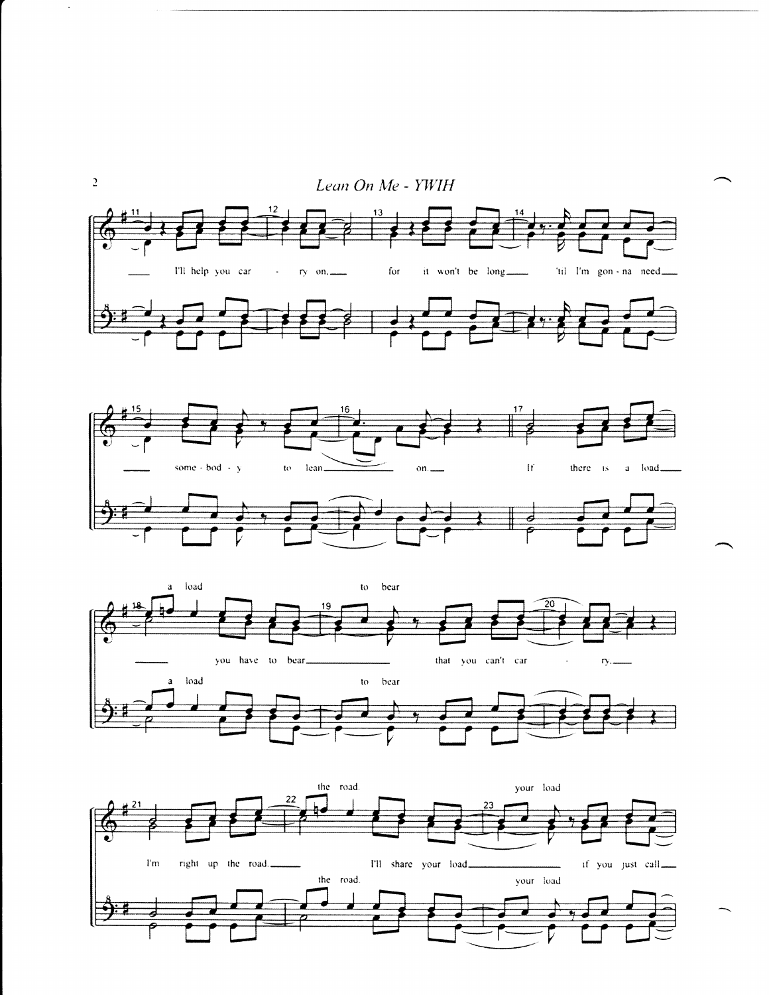



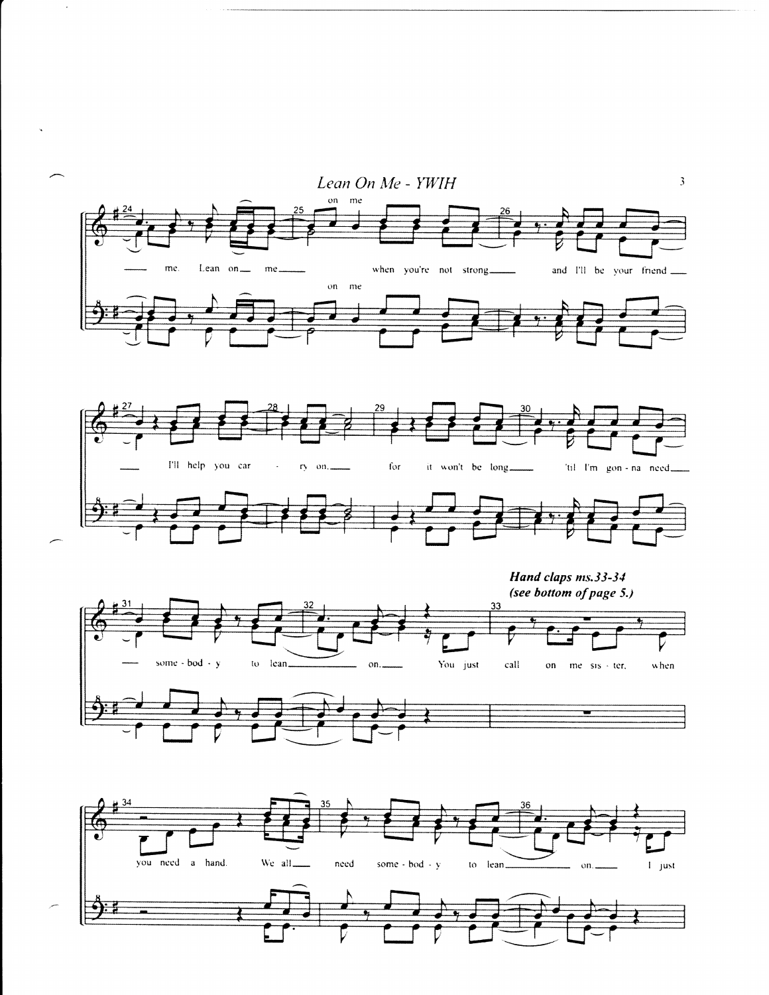

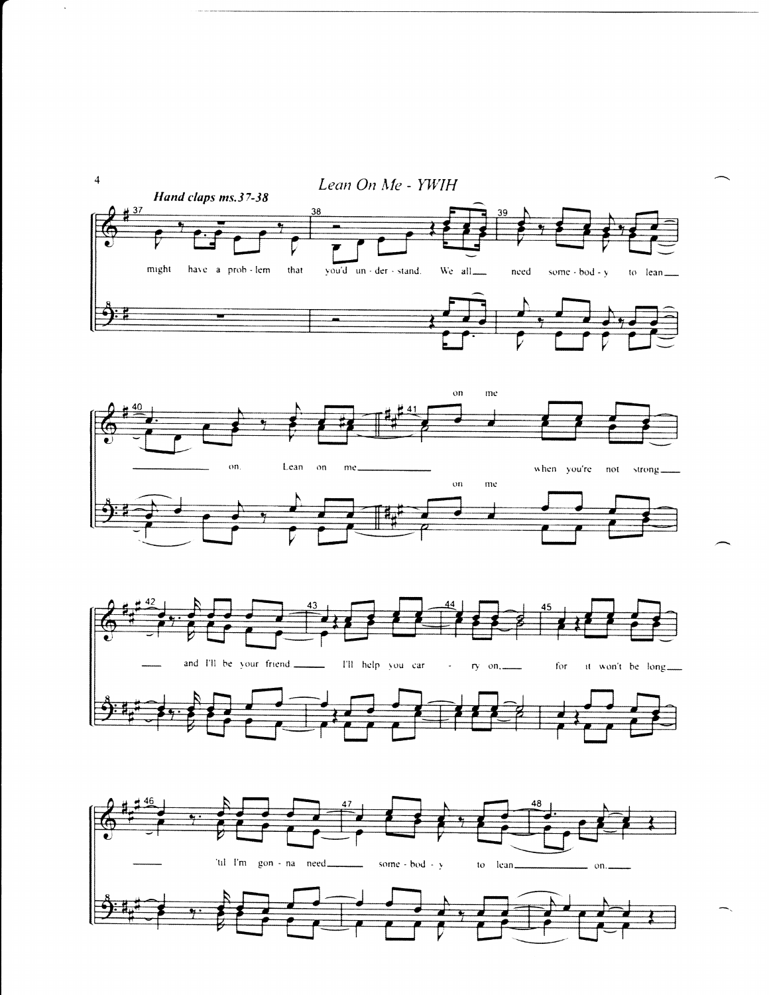